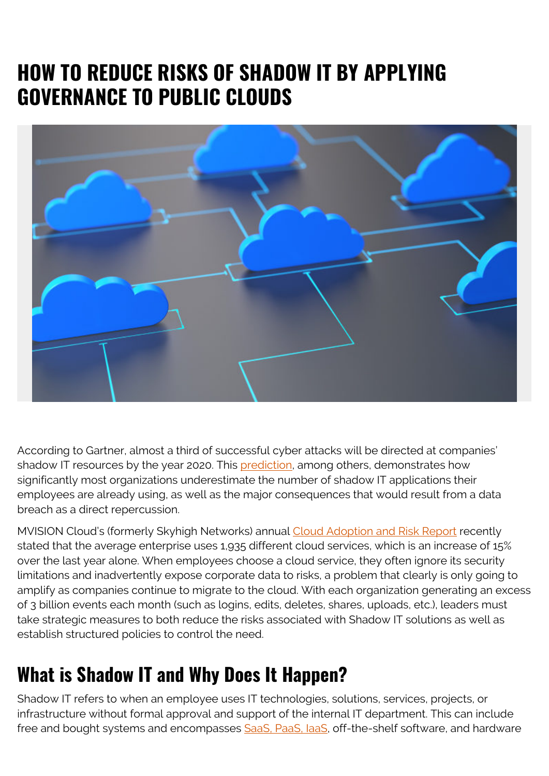# **HOW TO REDUCE RISKS OF SHADOW IT BY APPLYING GOVERNANCE TO PUBLIC CLOUDS**



According to Gartner, almost a third of successful cyber attacks will be directed at companies' shadow IT resources by the year 2020. This [prediction,](https://www.gartner.com/smarterwithgartner/top-10-security-predictions-2016/) among others, demonstrates how significantly most organizations underestimate the number of shadow IT applications their employees are already using, as well as the major consequences that would result from a data breach as a direct repercussion.

MVISION Cloud's (formerly Skyhigh Networks) annual [Cloud Adoption and Risk Report](https://www.skyhighnetworks.com/cloud-report/) recently stated that the average enterprise uses 1,935 different cloud services, which is an increase of 15% over the last year alone. When employees choose a cloud service, they often ignore its security limitations and inadvertently expose corporate data to risks, a problem that clearly is only going to amplify as companies continue to migrate to the cloud. With each organization generating an excess of 3 billion events each month (such as logins, edits, deletes, shares, uploads, etc.), leaders must take strategic measures to both reduce the risks associated with Shadow IT solutions as well as establish structured policies to control the need.

### **What is Shadow IT and Why Does It Happen?**

Shadow IT refers to when an employee uses IT technologies, solutions, services, projects, or infrastructure without formal approval and support of the internal IT department. This can include free and bought systems and encompasses SaaS, PaaS, laaS, off-the-shelf software, and hardware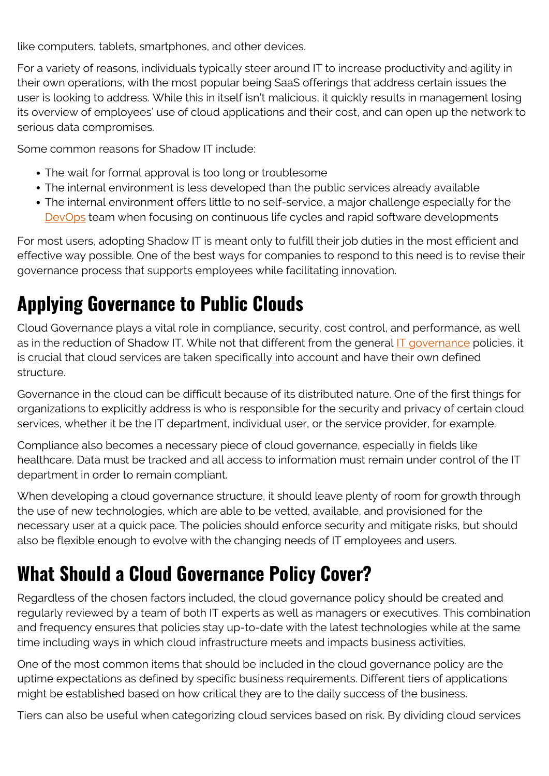like computers, tablets, smartphones, and other devices.

For a variety of reasons, individuals typically steer around IT to increase productivity and agility in their own operations, with the most popular being SaaS offerings that address certain issues the user is looking to address. While this in itself isn't malicious, it quickly results in management losing its overview of employees' use of cloud applications and their cost, and can open up the network to serious data compromises.

Some common reasons for Shadow IT include:

- The wait for formal approval is too long or troublesome
- The internal environment is less developed than the public services already available
- The internal environment offers little to no self-service, a major challenge especially for the [DevOps](https://blogs.bmc.com/blogs/devops-basics-introduction/) team when focusing on continuous life cycles and rapid software developments

For most users, adopting Shadow IT is meant only to fulfill their job duties in the most efficient and effective way possible. One of the best ways for companies to respond to this need is to revise their governance process that supports employees while facilitating innovation.

## **Applying Governance to Public Clouds**

Cloud Governance plays a vital role in compliance, security, cost control, and performance, as well as in the reduction of Shadow IT. While not that different from the general [IT governance](https://blogs.bmc.com/blogs/it-governance/) policies, it is crucial that cloud services are taken specifically into account and have their own defined structure.

Governance in the cloud can be difficult because of its distributed nature. One of the first things for organizations to explicitly address is who is responsible for the security and privacy of certain cloud services, whether it be the IT department, individual user, or the service provider, for example.

Compliance also becomes a necessary piece of cloud governance, especially in fields like healthcare. Data must be tracked and all access to information must remain under control of the IT department in order to remain compliant.

When developing a cloud governance structure, it should leave plenty of room for growth through the use of new technologies, which are able to be vetted, available, and provisioned for the necessary user at a quick pace. The policies should enforce security and mitigate risks, but should also be flexible enough to evolve with the changing needs of IT employees and users.

### **What Should a Cloud Governance Policy Cover?**

Regardless of the chosen factors included, the cloud governance policy should be created and regularly reviewed by a team of both IT experts as well as managers or executives. This combination and frequency ensures that policies stay up-to-date with the latest technologies while at the same time including ways in which cloud infrastructure meets and impacts business activities.

One of the most common items that should be included in the cloud governance policy are the uptime expectations as defined by specific business requirements. Different tiers of applications might be established based on how critical they are to the daily success of the business.

Tiers can also be useful when categorizing cloud services based on risk. By dividing cloud services